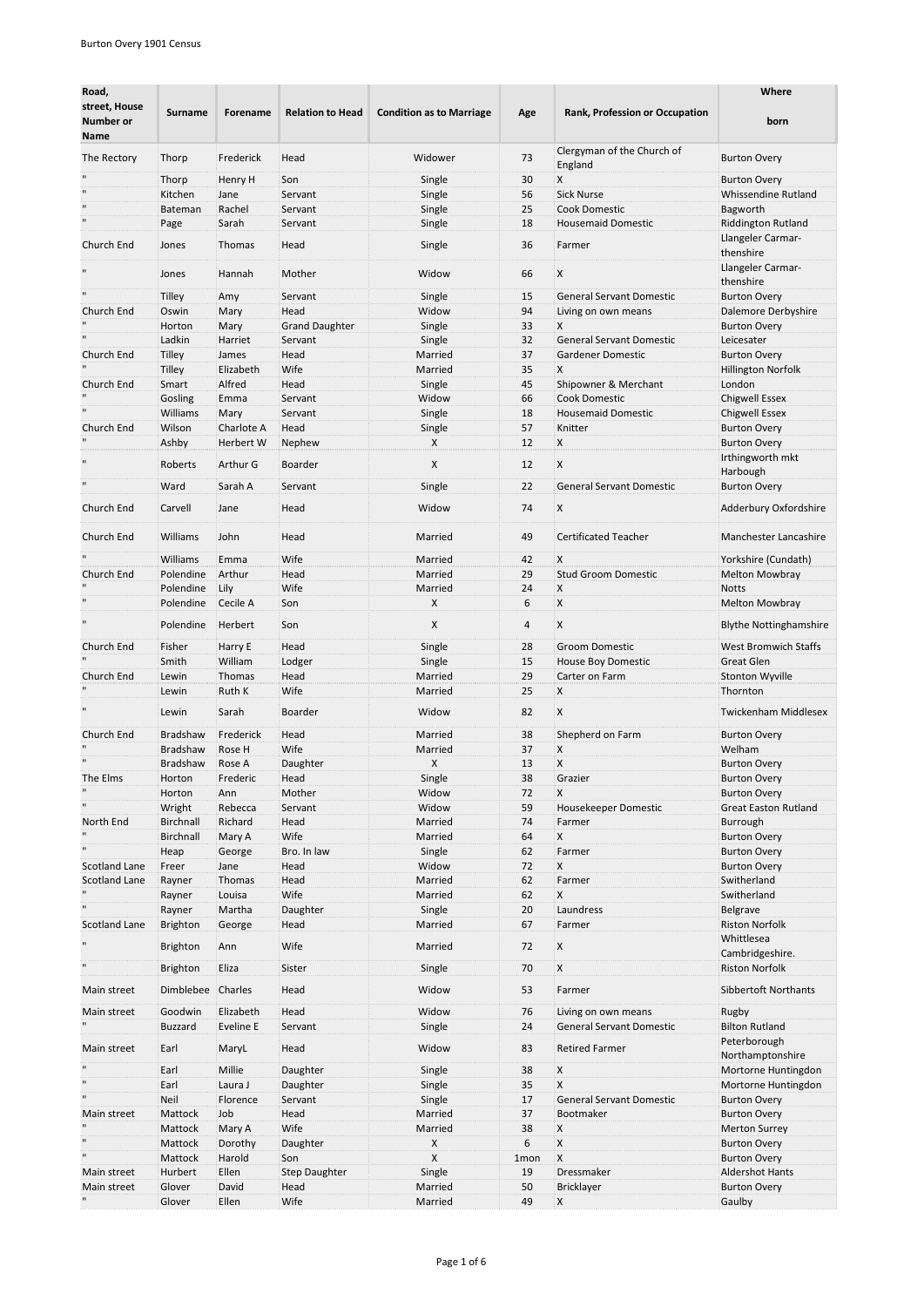| Road,<br>street, House<br>Number or<br>Name | Surname               | Forename         | <b>Relation to Head</b> | <b>Condition as to Marriage</b> | Age      | <b>Rank, Profession or Occupation</b> | Where<br>born                                 |
|---------------------------------------------|-----------------------|------------------|-------------------------|---------------------------------|----------|---------------------------------------|-----------------------------------------------|
| The Rectory                                 | Thorp                 | Frederick        | Head                    | Widower                         | 73       | Clergyman of the Church of<br>England | <b>Burton Overy</b>                           |
|                                             | Thorp                 | Henry H          | Son                     | Single                          | 30       | X                                     | <b>Burton Overy</b>                           |
|                                             | Kitchen               | Jane             | Servant                 | Single                          | 56       | <b>Sick Nurse</b>                     | Whissendine Rutland                           |
|                                             | Bateman               | Rachel           | Servant                 | Single                          | 25       | <b>Cook Domestic</b>                  | Bagworth                                      |
|                                             | Page                  | Sarah            | Servant                 | Single                          | 18       | <b>Housemaid Domestic</b>             | <b>Riddington Rutland</b>                     |
| Church End                                  | Jones                 | Thomas           | Head                    | Single                          | 36       | Farmer                                | Llangeler Carmar-<br>thenshire                |
|                                             | Jones                 | Hannah           | Mother                  | Widow                           | 66       | X                                     | Llangeler Carmar-<br>thenshire                |
|                                             | <b>Tilley</b>         | Amy              | Servant                 | Single                          | 15       | <b>General Servant Domestic</b>       | <b>Burton Overy</b>                           |
| Church End                                  | Oswin                 | Mary             | Head                    | Widow                           | 94       | Living on own means                   | Dalemore Derbyshire                           |
|                                             | Horton                | Mary             | <b>Grand Daughter</b>   | Single                          | 33       | Χ                                     | <b>Burton Overy</b>                           |
|                                             | Ladkin                | Harriet          | Servant                 | Single                          | 32       | <b>General Servant Domestic</b>       | Leicesater                                    |
| Church End                                  | Tilley                | James            | Head                    | Married                         | 37       | Gardener Domestic                     | <b>Burton Overy</b>                           |
|                                             | <b>Tilley</b>         | Elizabeth        | Wife                    | Married                         | 35       | X                                     | <b>Hillington Norfolk</b>                     |
| Church End                                  | Smart                 | Alfred           | Head                    | Single                          | 45       | Shipowner & Merchant                  | London                                        |
|                                             | Gosling               | Emma             | Servant                 | Widow                           | 66       | <b>Cook Domestic</b>                  | <b>Chigwell Essex</b>                         |
|                                             | Williams              | Mary             | Servant                 | Single                          | 18       | <b>Housemaid Domestic</b>             | <b>Chigwell Essex</b>                         |
| Church End                                  | Wilson                | Charlote A       | Head                    | Single                          | 57       | Knitter                               | <b>Burton Overy</b>                           |
|                                             | Ashby                 | Herbert W        | Nephew                  | X                               | 12       | X.                                    | <b>Burton Overy</b>                           |
|                                             | Roberts               | Arthur G         | Boarder                 | X                               | 12       | X                                     | Irthingworth mkt<br>Harbough                  |
|                                             | Ward                  | Sarah A          | Servant                 | Single                          | 22       | <b>General Servant Domestic</b>       | <b>Burton Overy</b>                           |
|                                             |                       |                  |                         |                                 |          |                                       |                                               |
| Church End                                  | Carvell               | Jane             | Head                    | Widow                           | 74       | X                                     | Adderbury Oxfordshire                         |
| Church End                                  | Williams              | John             | Head                    | Married                         | 49       | <b>Certificated Teacher</b>           | Manchester Lancashire                         |
|                                             | Williams              | Emma             | Wife                    | Married                         | 42       | X                                     | Yorkshire (Cundath)                           |
| Church End                                  | Polendine             | Arthur           | Head                    | Married                         | 29       | <b>Stud Groom Domestic</b>            | Melton Mowbray                                |
|                                             | Polendine             | Lily             | Wife                    | Married                         | 24       | X                                     | <b>Notts</b>                                  |
|                                             | Polendine             | Cecile A         | Son                     | X                               | 6        | Х                                     | <b>Melton Mowbray</b>                         |
|                                             | Polendine             | Herbert          | Son                     | X                               | 4        | X                                     | <b>Blythe Nottinghamshire</b>                 |
| Church End                                  | Fisher                | Harry E          | Head                    | Single                          | 28       | <b>Groom Domestic</b>                 | <b>West Bromwich Staffs</b>                   |
|                                             | Smith                 | William          | Lodger                  | Single                          | 15       | House Boy Domestic                    | <b>Great Glen</b>                             |
| Church End                                  | Lewin                 | Thomas           | Head                    | Married                         | 29       | Carter on Farm                        | <b>Stonton Wyville</b>                        |
|                                             | Lewin                 | Ruth K           | Wife                    | Married                         | 25       | X                                     | Thornton                                      |
|                                             | Lewin                 | Sarah            | Boarder                 | Widow                           | 82       | X                                     | Twickenham Middlesex                          |
| Church End                                  | Bradshaw              | Frederick        | Head                    | Married                         | 38       | Shepherd on Farm                      | <b>Burton Overy</b>                           |
|                                             | <b>Bradshaw</b>       | Rose H           | Wife                    | Married                         | 37       | X                                     | Welham                                        |
|                                             | Bradshaw              | Rose A           | Daughter                | X                               | 13       | X                                     | <b>Burton Overy</b>                           |
| The Elms                                    | Horton                | Frederic         | Head                    | Single                          | 38       | Grazier                               | Burton Overy                                  |
| H                                           | Horton                | Ann              | Mother                  | Widow                           | 72       | X                                     | <b>Burton Overy</b>                           |
|                                             | Wright                | Rebecca          | Servant                 | Widow                           | 59       | Housekeeper Domestic                  | <b>Great Easton Rutland</b>                   |
| North End                                   | Birchnall             | Richard          | Head                    | Married                         | 74       | Farmer                                | Burrough                                      |
|                                             | Birchnall             | Mary A           | Wife                    | Married                         | 64       | X                                     | <b>Burton Overy</b>                           |
|                                             | Heap                  | George           | Bro. In law             | Single                          | 62       | Farmer                                | <b>Burton Overy</b>                           |
| Scotland Lane                               | Freer                 | Jane             | Head                    | Widow                           | 72       | X                                     | <b>Burton Overy</b>                           |
| Scotland Lane                               | Rayner                | Thomas           | Head                    | Married                         | 62       | Farmer                                | Switherland                                   |
|                                             | Rayner                | Louisa           | Wife                    | Married                         | 62       | X                                     | Switherland                                   |
|                                             | Rayner                | Martha           | Daughter                | Single                          | 20       | Laundress                             | Belgrave                                      |
| <b>Scotland Lane</b>                        | Brighton              | George           | Head                    | Married                         | 67       | Farmer                                | <b>Riston Norfolk</b><br>Whittlesea           |
| $\mathbf{u}$                                | Brighton              | Ann              | Wife                    | Married                         | 72       | X                                     | Cambridgeshire.                               |
| Main street                                 | Brighton<br>Dimblebee | Eliza<br>Charles | Sister<br>Head          | Single<br>Widow                 | 70<br>53 | X<br>Farmer                           | <b>Riston Norfolk</b><br>Sibbertoft Northants |
| Main street                                 | Goodwin               | Elizabeth        | Head                    | Widow                           | 76       | Living on own means                   | Rugby                                         |
|                                             | <b>Buzzard</b>        | Eveline E        | Servant                 | Single                          | 24       | <b>General Servant Domestic</b>       | <b>Bilton Rutland</b>                         |
| Main street                                 | Earl                  | MaryL            | Head                    | Widow                           | 83       | <b>Retired Farmer</b>                 | Peterborough<br>Northamptonshire              |
|                                             | Earl                  | Millie           | Daughter                | Single                          | 38       | Х                                     | Mortorne Huntingdon                           |
|                                             | Earl                  | Laura J          | Daughter                | Single                          | 35       | X                                     | Mortorne Huntingdon                           |
|                                             | Neil                  | Florence         | Servant                 | Single                          | 17       | <b>General Servant Domestic</b>       | <b>Burton Overy</b>                           |
| Main street                                 | Mattock               | Job              | Head                    | Married                         | 37       | Bootmaker                             | <b>Burton Overy</b>                           |
|                                             | Mattock               | Mary A           | Wife                    | Married                         | 38       | X                                     | <b>Merton Surrey</b>                          |
|                                             | Mattock               | Dorothy          | Daughter                | X                               | 6        | X                                     | <b>Burton Overy</b>                           |
|                                             | Mattock               | Harold           | Son                     | X                               | 1mon     | $\mathsf{X}$                          | <b>Burton Overy</b>                           |
| Main street                                 | Hurbert               | Ellen            | <b>Step Daughter</b>    | Single                          | 19       | Dressmaker                            | <b>Aldershot Hants</b>                        |
| Main street                                 | Glover                | David            | Head                    | Married                         | 50       | Bricklayer                            | <b>Burton Overy</b>                           |
|                                             | Glover                | Ellen            | Wife                    | Married                         | 49       | X                                     | Gaulby                                        |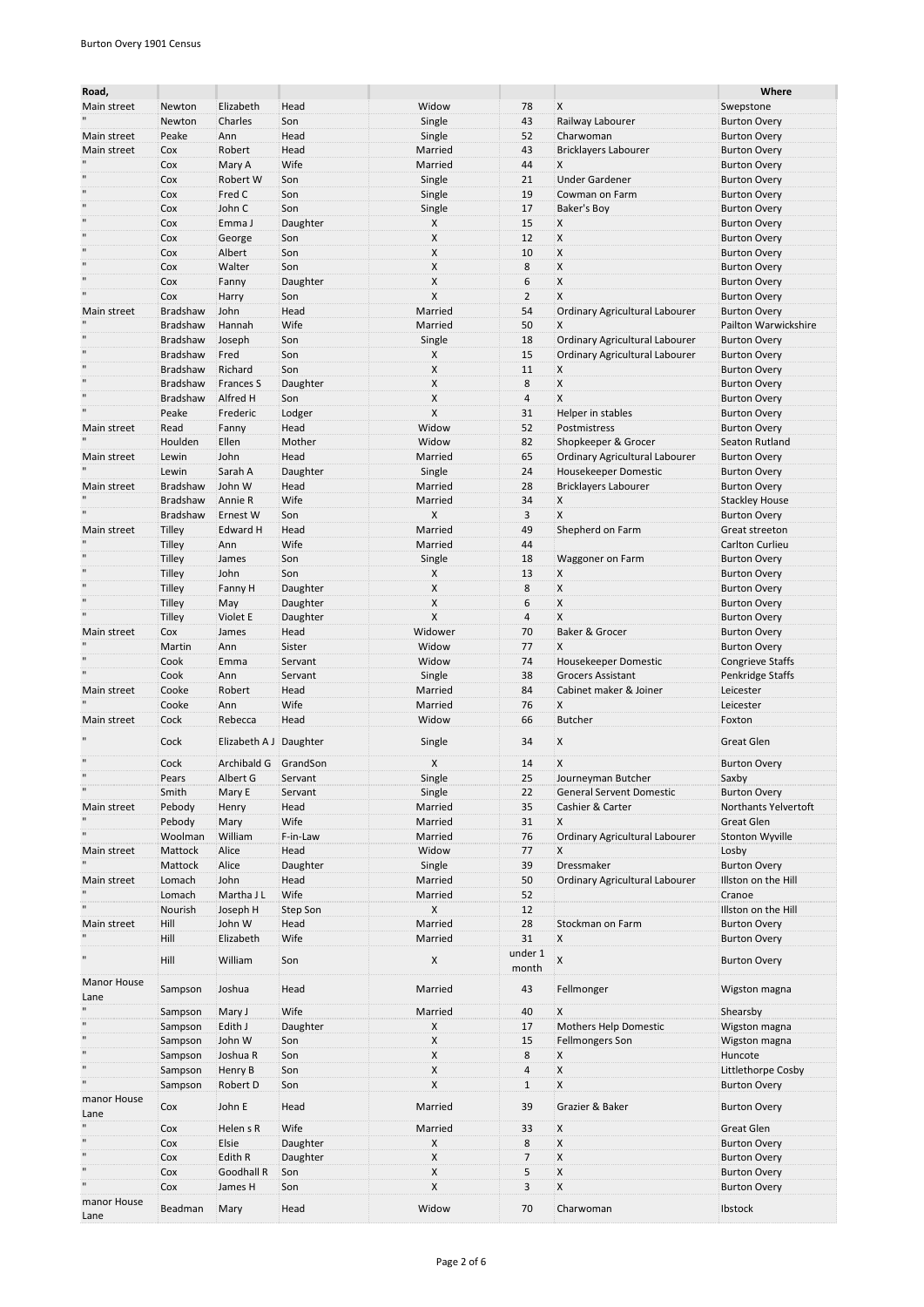| Road,               |                                    |                        |                  |                    |                  |                                                        | Where                                        |
|---------------------|------------------------------------|------------------------|------------------|--------------------|------------------|--------------------------------------------------------|----------------------------------------------|
| Main street         | Newton                             | Elizabeth              | Head             | Widow              | 78               | Χ                                                      | Swepstone                                    |
|                     | Newton                             | Charles                | Son              | Single             | 43               | Railway Labourer                                       | <b>Burton Overy</b>                          |
| Main street         | Peake                              | Ann                    | Head             | Single             | 52               | Charwoman                                              | <b>Burton Overy</b>                          |
| Main street         | Cox<br>Cox                         | Robert                 | Head<br>Wife     | Married<br>Married | 43<br>44         | <b>Bricklayers Labourer</b>                            | <b>Burton Overy</b>                          |
|                     | Cox                                | Mary A<br>Robert W     | Son              | Single             | 21               | Χ<br><b>Under Gardener</b>                             | <b>Burton Overy</b><br><b>Burton Overy</b>   |
|                     | Cox                                | Fred C                 | Son              | Single             | 19               | Cowman on Farm                                         | <b>Burton Overy</b>                          |
|                     | Cox                                | John C                 | Son              | Single             | 17               | Baker's Boy                                            | <b>Burton Overy</b>                          |
| $\mathbf{u}$        | Cox                                | Emma J                 | Daughter         | X                  | 15               | Χ                                                      | <b>Burton Overy</b>                          |
| $\mathbf{H}$        | Cox                                | George                 | Son              | X                  | 12               | X                                                      | <b>Burton Overy</b>                          |
|                     | Cox                                | Albert                 | Son              | X                  | 10               | X                                                      | <b>Burton Overy</b>                          |
| $\mathbf{u}$        | Cox                                | Walter                 | Son              | X                  | 8                | X                                                      | <b>Burton Overy</b>                          |
|                     | Cox                                | Fanny                  | Daughter         | X                  | 6                | X                                                      | <b>Burton Overy</b>                          |
|                     | Cox<br>Bradshaw                    | Harry                  | Son              | X                  | $\overline{2}$   | X                                                      | <b>Burton Overy</b>                          |
| Main street         | <b>Bradshaw</b>                    | John<br>Hannah         | Head<br>Wife     | Married<br>Married | 54<br>50         | Ordinary Agricultural Labourer<br>X                    | <b>Burton Overy</b><br>Pailton Warwickshire  |
|                     | <b>Bradshaw</b>                    | Joseph                 | Son              | Single             | 18               | Ordinary Agricultural Labourer                         | <b>Burton Overy</b>                          |
|                     | <b>Bradshaw</b>                    | Fred                   | Son              | X                  | 15               | Ordinary Agricultural Labourer                         | <b>Burton Overy</b>                          |
| $\mathbf{H}$        | <b>Bradshaw</b>                    | Richard                | Son              | X                  | 11               | X                                                      | <b>Burton Overy</b>                          |
|                     | <b>Bradshaw</b>                    | Frances S              | Daughter         | X                  | 8                | X                                                      | <b>Burton Overy</b>                          |
| $\mathbf{H}$        | <b>Bradshaw</b>                    | Alfred H               | Son              | X                  | 4                | X                                                      | <b>Burton Overy</b>                          |
|                     | Peake                              | Frederic               | Lodger           | X                  | 31               | Helper in stables                                      | <b>Burton Overy</b>                          |
| Main street         | Read                               | Fanny                  | Head             | Widow              | 52               | Postmistress                                           | <b>Burton Overy</b>                          |
|                     | Houlden                            | Ellen                  | Mother           | Widow              | 82               | Shopkeeper & Grocer                                    | Seaton Rutland                               |
| Main street         | Lewin                              | John                   | Head             | Married            | 65               | Ordinary Agricultural Labourer                         | <b>Burton Overy</b>                          |
|                     | Lewin                              | Sarah A                | Daughter         | Single             | 24               | Housekeeper Domestic                                   | <b>Burton Overy</b>                          |
| Main street         | <b>Bradshaw</b><br><b>Bradshaw</b> | John W<br>Annie R      | Head<br>Wife     | Married<br>Married | 28<br>34         | <b>Bricklayers Labourer</b><br>X                       | <b>Burton Overy</b>                          |
|                     | <b>Bradshaw</b>                    | Ernest W               | Son              | X                  | 3                | X                                                      | <b>Stackley House</b><br><b>Burton Overy</b> |
| Main street         | Tilley                             | Edward H               | Head             | Married            | 49               | Shepherd on Farm                                       | Great streeton                               |
|                     | Tilley                             | Ann                    | Wife             | Married            | 44               |                                                        | Carlton Curlieu                              |
|                     | <b>Tilley</b>                      | James                  | Son              | Single             | 18               | Waggoner on Farm                                       | <b>Burton Overy</b>                          |
|                     | <b>Tilley</b>                      | John                   | Son              | X                  | 13               | X                                                      | <b>Burton Overy</b>                          |
|                     | <b>Tilley</b>                      | Fanny H                | Daughter         | X                  | 8                | X                                                      | <b>Burton Overy</b>                          |
| $\mathbf{H}$        | <b>Tilley</b>                      | May                    | Daughter         | X                  | 6                | X                                                      | <b>Burton Overy</b>                          |
|                     | Tilley                             | Violet E               | Daughter         | X                  | $\overline{4}$   | X                                                      | <b>Burton Overy</b>                          |
| Main street         | Cox                                | James                  | Head             | Widower            | 70               | Baker & Grocer                                         | <b>Burton Overy</b>                          |
|                     | Martin                             | Ann                    | Sister           | Widow              | 77               | Χ                                                      | <b>Burton Overy</b>                          |
|                     | Cook                               | Emma                   | Servant          | Widow              | 74               | Housekeeper Domestic                                   | <b>Congrieve Staffs</b>                      |
|                     | Cook<br>Cooke                      | Ann                    | Servant          | Single<br>Married  | 38               | <b>Grocers Assistant</b>                               | Penkridge Staffs                             |
| Main street         | Cooke                              | Robert<br>Ann          | Head<br>Wife     | Married            | 84<br>76         | Cabinet maker & Joiner<br>X                            | Leicester<br>Leicester                       |
| Main street         | Cock                               | Rebecca                | Head             | Widow              | 66               | <b>Butcher</b>                                         | Foxton                                       |
|                     |                                    |                        |                  |                    |                  |                                                        |                                              |
|                     | Cock                               | Elizabeth A J Daughter |                  | Single             | 34               | X                                                      | <b>Great Glen</b>                            |
| $\mathbf{H}$        | Cock                               | Archibald G GrandSon   |                  | X                  | 14               | X                                                      | <b>Burton Overy</b>                          |
| $\mathbf{H}$        | Pears                              | Albert G               | Servant          | Single             | 25               | Journeyman Butcher                                     | Saxby                                        |
|                     | Smith                              | Mary E                 | Servant          | Single             | 22               | <b>General Servent Domestic</b>                        | <b>Burton Overy</b>                          |
| Main street         | Pebody                             | Henry                  | Head             | Married            | 35               | Cashier & Carter                                       | Northants Yelvertoft                         |
|                     | Pebody                             | Mary                   | Wife             | Married            | 31               | X                                                      | Great Glen                                   |
|                     | Woolman                            | William                | F-in-Law         | Married            | 76               | Ordinary Agricultural Labourer                         | <b>Stonton Wyville</b>                       |
| Main street         | Mattock                            | Alice                  | Head             | Widow              | 77               | X                                                      | Losby                                        |
| Main street         | Mattock<br>Lomach                  | Alice<br>John          | Daughter<br>Head | Single<br>Married  | 39<br>50         | Dressmaker<br>Ordinary Agricultural Labourer           | <b>Burton Overy</b><br>Illston on the Hill   |
|                     | Lomach                             | Martha J L             | Wife             | Married            | 52               |                                                        | Cranoe                                       |
|                     | Nourish                            | Joseph H               | Step Son         | X                  | 12               |                                                        | Illston on the Hill                          |
| Main street         | Hill                               | John W                 | Head             | Married            | 28               | Stockman on Farm                                       | <b>Burton Overy</b>                          |
|                     | Hill                               | Elizabeth              | Wife             | Married            | 31               | Χ                                                      | <b>Burton Overy</b>                          |
|                     | Hill                               | William                | Son              | X                  | under 1<br>month | $\mathsf{X}$                                           | <b>Burton Overy</b>                          |
| Manor House         | Sampson                            | Joshua                 | Head             | Married            | 43               | Fellmonger                                             | Wigston magna                                |
| Lane                |                                    |                        |                  |                    |                  |                                                        |                                              |
|                     | Sampson                            | Mary J                 | Wife             | Married            | 40               | Χ                                                      | Shearsby                                     |
| $\mathbf{H}$        | Sampson<br>Sampson                 | Edith J<br>John W      | Daughter<br>Son  | X<br>X             | 17<br>15         | <b>Mothers Help Domestic</b><br><b>Fellmongers Son</b> | Wigston magna<br>Wigston magna               |
| $\mathbf{u}$        | Sampson                            | Joshua R               | Son              | X                  | 8                | X                                                      | Huncote                                      |
| $\mathbf{u}$        | Sampson                            | Henry B                | Son              | X                  | $\overline{a}$   | X                                                      | Littlethorpe Cosby                           |
|                     | Sampson                            | Robert D               | Son              | X                  | $\mathbf{1}$     | X                                                      | <b>Burton Overy</b>                          |
| manor House         | Cox                                | John E                 | Head             | Married            | 39               | Grazier & Baker                                        | <b>Burton Overy</b>                          |
| Lane                |                                    |                        | Wife             |                    |                  | X                                                      |                                              |
| $\mathbf{H}$        | Cox<br>Cox                         | Helen s R<br>Elsie     | Daughter         | Married<br>X       | 33<br>8          | X                                                      | Great Glen<br><b>Burton Overy</b>            |
| $\mathbf{H}$        | Cox                                | Edith R                | Daughter         | X                  | 7                | X                                                      | <b>Burton Overy</b>                          |
| $\mathbf{u}$        | Cox                                | Goodhall R             | Son              | X                  | 5                | X                                                      | <b>Burton Overy</b>                          |
| $\mathbf{H}$        | Cox                                | James H                | Son              | X                  | 3                | X                                                      | <b>Burton Overy</b>                          |
| manor House<br>Lane | Beadman                            | Mary                   | Head             | Widow              | 70               | Charwoman                                              | Ibstock                                      |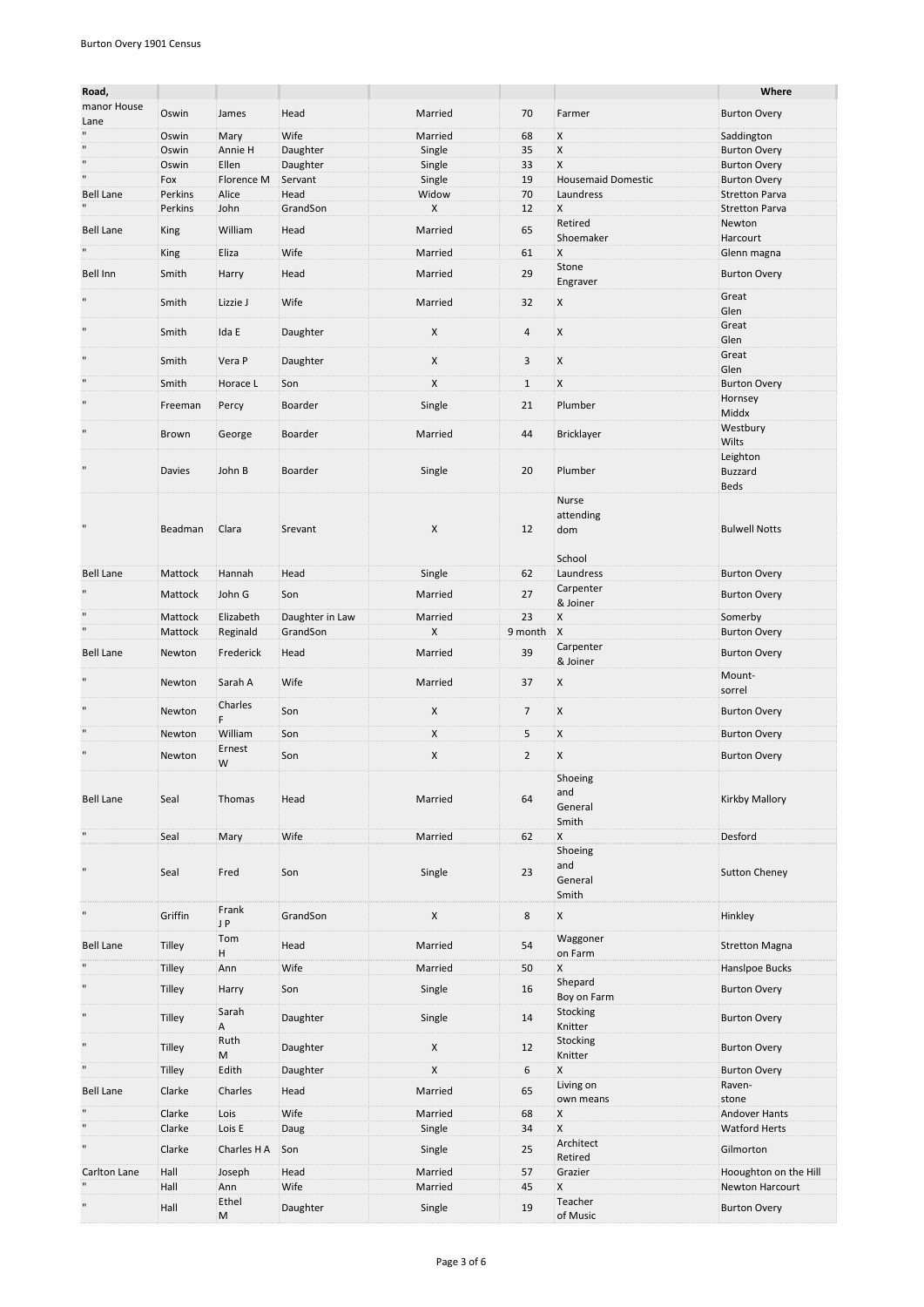| Road,                                    |                    |                       |                             |              |                |                                    | Where                              |
|------------------------------------------|--------------------|-----------------------|-----------------------------|--------------|----------------|------------------------------------|------------------------------------|
| manor House<br>Lane                      | Oswin              | James                 | Head                        | Married      | 70             | Farmer                             | <b>Burton Overy</b>                |
| $\mathbf{u}$                             | Oswin              | Mary                  | Wife                        | Married      | 68             | X                                  | Saddington                         |
| $\mathbf{u}$                             | Oswin              | Annie H               | Daughter                    | Single       | 35             | $\mathsf{X}$                       | <b>Burton Overy</b>                |
| $\blacksquare$                           | Oswin              | Ellen                 | Daughter                    | Single       | 33             | X                                  | <b>Burton Overy</b>                |
| $\mathbf{u}$                             | Fox                | Florence M            | Servant                     | Single       | 19             | <b>Housemaid Domestic</b>          | <b>Burton Overy</b>                |
| <b>Bell Lane</b>                         | Perkins            | Alice                 | Head                        | Widow        | 70             | Laundress                          | <b>Stretton Parva</b>              |
|                                          | Perkins            | John                  | GrandSon                    | X            | 12             | X<br>Retired                       | <b>Stretton Parva</b><br>Newton    |
| <b>Bell Lane</b>                         | King               | William               | Head                        | Married      | 65             | Shoemaker                          | Harcourt                           |
| $\blacksquare$                           | King               | Eliza                 | Wife                        | Married      | 61             | .X                                 | Glenn magna                        |
| Bell Inn                                 | Smith              |                       |                             | Married      | 29             | Stone                              |                                    |
|                                          |                    | Harry                 | Head                        |              |                | Engraver                           | <b>Burton Overy</b>                |
| $\mathbf{u}$                             | Smith              | Lizzie J              | Wife                        | Married      | 32             | X                                  | Great<br>Glen                      |
| $\mathbf{u}$                             | Smith              | Ida E                 | Daughter                    | X            | 4              | X                                  | Great<br>Glen                      |
| $\mathbf{u}$                             | Smith              | Vera P                | Daughter                    | X            | 3              | X                                  | Great<br>Glen                      |
|                                          | Smith              | Horace L              | Son                         | X            | $\mathbf{1}$   | X                                  | <b>Burton Overy</b>                |
| $\mathbf{u}$                             | Freeman            | Percy                 | Boarder                     | Single       | 21             | Plumber                            | Hornsey<br>Middx                   |
| $\mathbf{u}$                             | Brown              | George                | Boarder                     | Married      | 44             | <b>Bricklayer</b>                  | Westbury<br>Wilts                  |
| $\mathbf{u}$                             | Davies             | John B                | Boarder                     | Single       | 20             | Plumber                            | Leighton<br><b>Buzzard</b><br>Beds |
| $\mathbf{u}$                             | Beadman            | Clara                 | Srevant                     | X            | 12             | Nurse<br>attending<br>dom          | <b>Bulwell Notts</b>               |
| <b>Bell Lane</b>                         | Mattock            | Hannah                | Head                        | Single       | 62             | School<br>Laundress                | <b>Burton Overy</b>                |
|                                          |                    |                       |                             |              |                | Carpenter                          |                                    |
|                                          | Mattock            | John G                | Son                         | Married      | 27             | & Joiner                           | <b>Burton Overy</b>                |
| $\mathbf{u}$<br>$\overline{\phantom{0}}$ | Mattock<br>Mattock | Elizabeth<br>Reginald | Daughter in Law<br>GrandSon | Married<br>X | 23<br>9 month  | X<br>$\mathbf{X}$                  | Somerby<br><b>Burton Overy</b>     |
| <b>Bell Lane</b>                         | Newton             | Frederick             | Head                        | Married      | 39             | Carpenter                          | <b>Burton Overy</b>                |
| $\mathbf{u}$                             | Newton             | Sarah A               | Wife                        | Married      | 37             | & Joiner<br>X                      | Mount-                             |
| $\mathbf{u}$                             |                    | Charles               |                             | X            |                |                                    | sorrel                             |
|                                          | Newton             | F.                    | Son                         |              | $\overline{7}$ | X                                  | <b>Burton Overy</b>                |
| $\blacksquare$                           | Newton             | William               | Son                         | X            | 5              | X                                  | <b>Burton Overy</b>                |
| $\mathbf{u}$                             | Newton             | Ernest<br>W           | Son                         | Χ            | $\overline{2}$ | X                                  | <b>Burton Overy</b>                |
| <b>Bell Lane</b>                         | Seal               | Thomas                | Head                        | Married      | 64             | Shoeing<br>and<br>General<br>Smith | Kirkby Mallory                     |
| $\mathbf{u}$                             | Seal               | Mary                  | Wife                        | Married      | 62             | X                                  | Desford                            |
| $\blacksquare$                           | Seal               | Fred                  | Son                         | Single       | 23             | Shoeing<br>and<br>General<br>Smith | <b>Sutton Cheney</b>               |
| $\mathbf{u}$                             | Griffin            | Frank<br>J P          | GrandSon                    | X            | $\bf 8$        | X                                  | Hinkley                            |
| <b>Bell Lane</b>                         | Tilley             | Tom<br>H              | Head                        | Married      | 54             | Waggoner<br>on Farm                | <b>Stretton Magna</b>              |
| $\blacksquare$                           | <b>Tilley</b>      | Ann                   | Wife                        | Married      | 50             | X                                  | Hanslpoe Bucks                     |
| $\blacksquare$                           | Tilley             | Harry                 | Son                         | Single       | 16             | Shepard<br>Boy on Farm             | <b>Burton Overy</b>                |
| $\blacksquare$                           | Tilley             | Sarah<br>А            | Daughter                    | Single       | 14             | Stocking<br>Knitter                | <b>Burton Overy</b>                |
| $\blacksquare$                           | Tilley             | Ruth<br>M             | Daughter                    | X            | 12             | Stocking<br>Knitter                | <b>Burton Overy</b>                |
| $\overline{\phantom{0}}$                 | Tilley             | Edith                 | Daughter                    | X            | 6              | X                                  | <b>Burton Overy</b>                |
| <b>Bell Lane</b>                         | Clarke             | Charles               | Head                        | Married      | 65             | Living on<br>own means             | Raven-<br>stone                    |
|                                          | Clarke             | Lois                  | Wife                        | Married      | 68             | X                                  | <b>Andover Hants</b>               |
| $\mathbf{u}$                             | Clarke             | Lois E                | Daug                        | Single       | 34             | X                                  | <b>Watford Herts</b>               |
| $\blacksquare$                           | Clarke             | Charles H A           | Son                         | Single       | 25             | Architect<br>Retired               | Gilmorton                          |
| Carlton Lane                             | Hall               | Joseph                | Head                        | Married      | 57             | Grazier                            | Hooughton on the Hill              |
|                                          | Hall               | Ann                   | Wife                        | Married      | 45             | X                                  | Newton Harcourt                    |
| $\blacksquare$                           | Hall               | Ethel<br>M            | Daughter                    | Single       | 19             | Teacher<br>of Music                | <b>Burton Overy</b>                |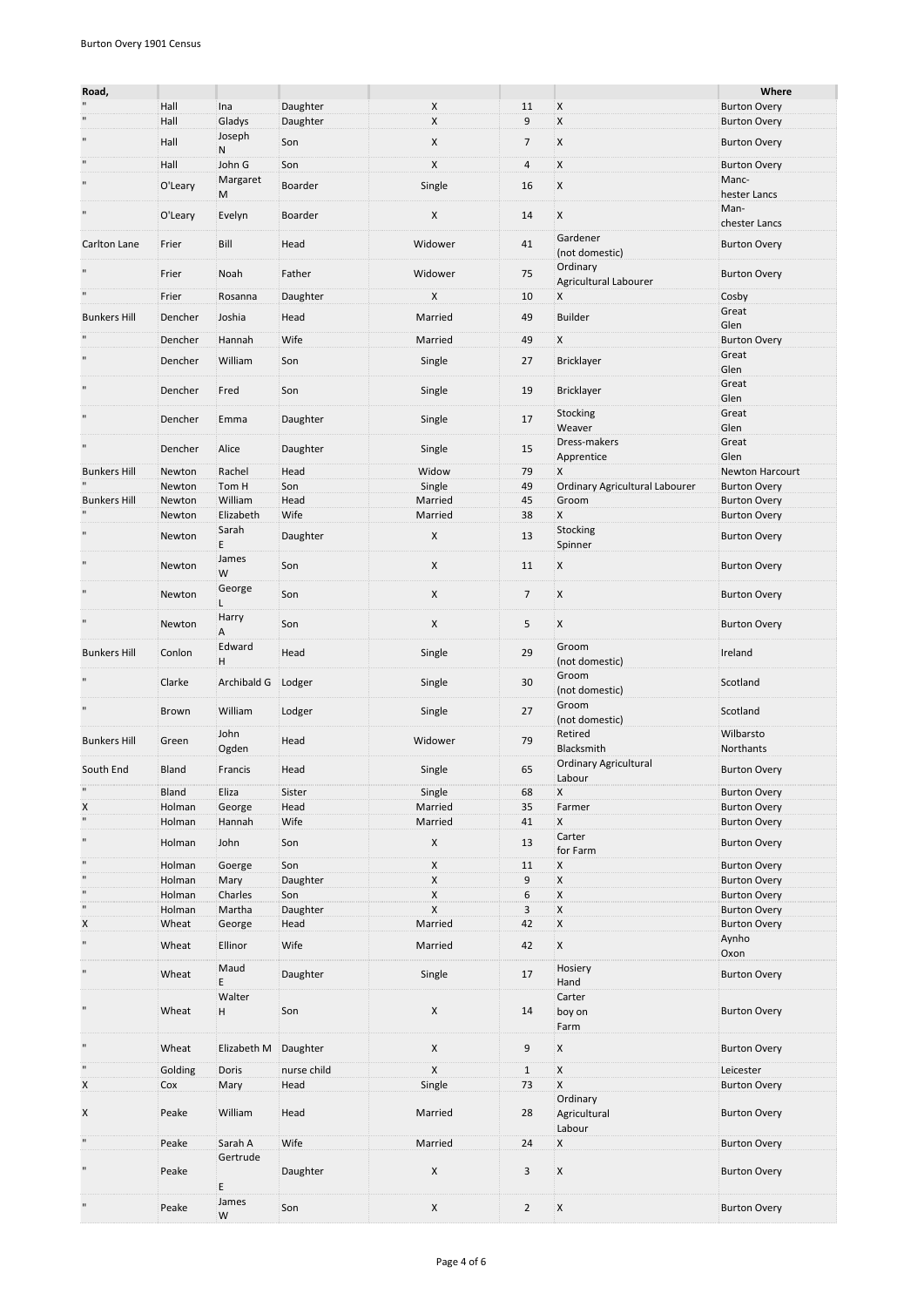| Road,                         |                  |                     |             |         |                  |                                          | Where                                      |
|-------------------------------|------------------|---------------------|-------------|---------|------------------|------------------------------------------|--------------------------------------------|
| $\mathbf{u}$                  | Hall             | Ina                 | Daughter    | X       | 11               | X                                        | <b>Burton Overy</b>                        |
| $\mathbf{u}$                  | Hall             | Gladys              | Daughter    | X       | 9                | X                                        | <b>Burton Overy</b>                        |
|                               |                  | Joseph              |             |         |                  |                                          |                                            |
|                               | Hall             | N                   | Son         | X       | $\overline{7}$   | X                                        | <b>Burton Overy</b>                        |
| $\mathbf{u}$                  | Hall             | John G              | Son         | X       | 4                | X                                        | <b>Burton Overy</b>                        |
| $\blacksquare$                | O'Leary          | Margaret            | Boarder     | Single  | 16               | X                                        | Manc-                                      |
|                               |                  | M                   |             |         |                  |                                          | hester Lancs                               |
| $\blacksquare$                | O'Leary          | Evelyn              | Boarder     | X       | 14               | X                                        | Man-                                       |
|                               |                  |                     |             |         |                  |                                          | chester Lancs                              |
| Carlton Lane                  | Frier            | Bill                | Head        | Widower | 41               | Gardener                                 | <b>Burton Overy</b>                        |
|                               |                  |                     |             |         |                  | (not domestic)                           |                                            |
|                               | Frier            | Noah                | Father      | Widower | 75               | Ordinary<br><b>Agricultural Labourer</b> | <b>Burton Overy</b>                        |
|                               | Frier            | Rosanna             | Daughter    | X       | 10               | Χ                                        | Cosby                                      |
|                               |                  |                     |             |         |                  |                                          | Great                                      |
| <b>Bunkers Hill</b>           | Dencher          | Joshia              | Head        | Married | 49               | Builder                                  | Glen                                       |
|                               | Dencher          | Hannah              | Wife        | Married | 49               | X                                        | <b>Burton Overy</b>                        |
| $\mathbf{u}$                  |                  |                     |             |         |                  |                                          | Great                                      |
|                               | Dencher          | William             | Son         | Single  | 27               | <b>Bricklayer</b>                        | Glen                                       |
| $\mathbf{u}$                  |                  |                     |             |         |                  |                                          | Great                                      |
|                               | Dencher          | Fred                | Son         | Single  | 19               | Bricklayer                               | Glen                                       |
| $\blacksquare$                | Dencher          | Emma                | Daughter    |         | 17               | <b>Stocking</b>                          | Great                                      |
|                               |                  |                     |             | Single  |                  | Weaver                                   | Glen                                       |
| П                             | Dencher          | Alice               | Daughter    | Single  | 15               | Dress-makers                             | Great                                      |
|                               |                  |                     |             |         |                  | Apprentice                               | Glen                                       |
| <b>Bunkers Hill</b>           | Newton           | Rachel              | Head        | Widow   | 79               | X                                        | Newton Harcourt                            |
|                               | Newton           | Tom H               | Son         | Single  | 49               | Ordinary Agricultural Labourer           | <b>Burton Overy</b>                        |
| <b>Bunkers Hill</b>           | Newton           | William             | Head        | Married | 45               | Groom                                    | <b>Burton Overy</b>                        |
|                               | Newton           | Elizabeth           | Wife        | Married | 38               | X                                        | <b>Burton Overy</b>                        |
|                               | Newton           | Sarah               | Daughter    | X       | 13               | Stocking                                 | <b>Burton Overy</b>                        |
|                               |                  | E                   |             |         |                  | Spinner                                  |                                            |
| $\mathbf{u}$                  | Newton           | James               | Son         | X       | 11               | X                                        | <b>Burton Overy</b>                        |
|                               |                  | W                   |             |         |                  |                                          |                                            |
| $\mathbf{u}$                  | Newton           | George<br>Г         | Son         | X       | $\overline{7}$   | X                                        | <b>Burton Overy</b>                        |
|                               |                  | Harry               |             |         |                  |                                          |                                            |
| $\blacksquare$                | Newton           | А                   | Son         | X       | 5                | X                                        | <b>Burton Overy</b>                        |
|                               |                  | Edward              |             |         |                  | Groom                                    |                                            |
| <b>Bunkers Hill</b>           | Conlon           | H                   | Head        | Single  | 29               | (not domestic)                           | Ireland                                    |
|                               |                  |                     |             |         |                  | Groom                                    |                                            |
|                               | Clarke           | Archibald G         | Lodger      | Single  | 30               | (not domestic)                           | Scotland                                   |
|                               |                  |                     |             |         |                  | Groom                                    |                                            |
|                               | Brown            | William             | Lodger      | Single  | 27               | (not domestic)                           | Scotland                                   |
| <b>Bunkers Hill</b>           | Green            | John                | Head        | Widower | 79               | Retired                                  | Wilbarsto                                  |
|                               |                  | Ogden               |             |         |                  | Blacksmith                               | Northants                                  |
| South End                     | Bland            | Francis             | Head        | Single  | 65               | <b>Ordinary Agricultural</b>             | <b>Burton Overy</b>                        |
|                               |                  |                     |             |         |                  | Labour                                   |                                            |
| $\mathbf{u}$                  | Bland            | Eliza               | Sister      | Single  | 68               | X                                        | <b>Burton Overy</b>                        |
| X<br>$\overline{\phantom{0}}$ | Holman           | George              | Head        | Married | 35               | Farmer                                   | <b>Burton Overy</b>                        |
|                               | Holman           | Hannah              | Wife        | Married | 41               | X                                        | <b>Burton Overy</b>                        |
| $\blacksquare$                | Holman           | John                | Son         | X       | 13               | Carter                                   | <b>Burton Overy</b>                        |
| $\mathbf{u}$                  |                  | Goerge              | Son         | X       |                  | for Farm                                 |                                            |
| $\mathbf{u}$                  | Holman<br>Holman | Mary                | Daughter    | X       | 11<br>9          | X<br>X                                   | <b>Burton Overy</b><br><b>Burton Overy</b> |
| $\mathbf{u}$                  | Holman           | Charles             | Son         | X       | $\boldsymbol{6}$ | X                                        | <b>Burton Overy</b>                        |
| $\blacksquare$                | Holman           | Martha              | Daughter    | X       | 3                | X                                        | <b>Burton Overy</b>                        |
| X                             | Wheat            | George              | Head        | Married | 42               | $\mathsf{x}$                             | <b>Burton Overy</b>                        |
| $\blacksquare$                |                  |                     |             |         |                  |                                          | Aynho                                      |
|                               | Wheat            | Ellinor             | Wife        | Married | 42               | X                                        | Oxon                                       |
| $\blacksquare$                | Wheat            | Maud                | Daughter    | Single  | 17               | Hosiery                                  | <b>Burton Overy</b>                        |
|                               |                  | E                   |             |         |                  | Hand                                     |                                            |
|                               |                  | Walter              |             |         |                  | Carter                                   |                                            |
| $\blacksquare$                | Wheat            | н                   | Son         | X       | 14               | boy on                                   | <b>Burton Overy</b>                        |
|                               |                  |                     |             |         |                  | Farm                                     |                                            |
| $\blacksquare$                | Wheat            | Elizabeth M         | Daughter    | X       | 9                | X                                        | <b>Burton Overy</b>                        |
|                               |                  |                     |             |         |                  |                                          |                                            |
| $\mathbf{u}$                  | Golding          | Doris               | nurse child | X       | $\mathbf{1}$     | X                                        | Leicester                                  |
| X                             | Cox              | Mary                | Head        | Single  | 73               | X                                        | <b>Burton Overy</b>                        |
|                               |                  |                     |             |         |                  | Ordinary                                 |                                            |
| X                             | Peake            | William             | Head        | Married | 28               | Agricultural                             | <b>Burton Overy</b>                        |
| $\blacksquare$                |                  |                     |             |         |                  | Labour                                   |                                            |
|                               | Peake            | Sarah A<br>Gertrude | Wife        | Married | 24               | X                                        | <b>Burton Overy</b>                        |
| $\mathbf{u}$                  | Peake            |                     | Daughter    | X       | 3                | X                                        | <b>Burton Overy</b>                        |
|                               |                  | E                   |             |         |                  |                                          |                                            |
|                               |                  | James               |             |         |                  |                                          |                                            |
| $\mathbf{u}$                  | Peake            | W                   | Son         | X       | $\overline{2}$   | X                                        | <b>Burton Overy</b>                        |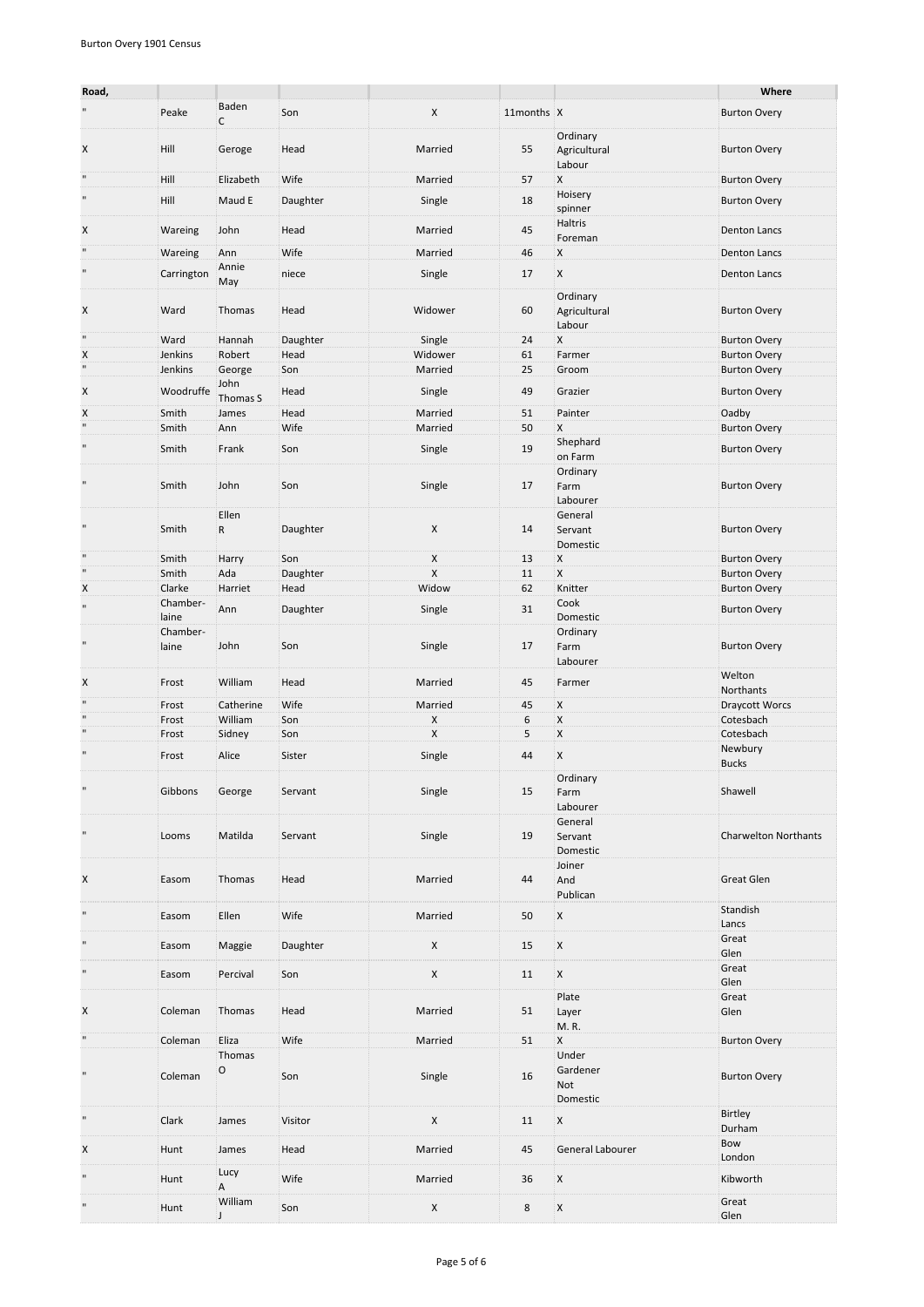| Road,          |                            |                       |          |         |            |                                          | Where                       |
|----------------|----------------------------|-----------------------|----------|---------|------------|------------------------------------------|-----------------------------|
| $\blacksquare$ | Peake                      | Baden<br>$\mathsf{C}$ | Son      | X       | 11months X |                                          | <b>Burton Overy</b>         |
| X              | Hill                       | Geroge                | Head     | Married | 55         | Ordinary<br>Agricultural<br>Labour       | <b>Burton Overy</b>         |
| $\mathbf{H}$   | Hill                       | Elizabeth             | Wife     | Married | 57         | X                                        | <b>Burton Overy</b>         |
| $\mathbf{H}$   | Hill                       | Maud E                | Daughter | Single  | 18         | Hoisery<br>spinner                       | <b>Burton Overy</b>         |
| X              | Wareing                    | John                  | Head     | Married | 45         | Haltris<br>Foreman                       | <b>Denton Lancs</b>         |
| $\mathbf{u}$   | Wareing                    | Ann                   | Wife     | Married | 46         | X                                        | <b>Denton Lancs</b>         |
| $\mathbf{u}$   | Carrington                 | Annie                 | niece    | Single  | 17         | X                                        | <b>Denton Lancs</b>         |
| X              | Ward                       | May<br>Thomas         | Head     | Widower | 60         | Ordinary<br>Agricultural<br>Labour       | <b>Burton Overy</b>         |
| $\mathbf{H}$   | Ward                       | Hannah                | Daughter | Single  | 24         | X                                        | <b>Burton Overy</b>         |
| X              | Jenkins                    | Robert                | Head     | Widower | 61         | Farmer                                   | <b>Burton Overy</b>         |
| $\mathbf{u}$   | Jenkins                    | George                | Son      | Married | 25         | Groom                                    | <b>Burton Overy</b>         |
| X              | Woodruffe                  | John<br>Thomas S      | Head     | Single  | 49         | Grazier                                  | <b>Burton Overy</b>         |
| X              | Smith                      | James                 | Head     | Married | 51         | Painter                                  | Oadby                       |
| $\mathbf{u}$   | Smith                      | Ann                   | Wife     | Married | 50         | X                                        | <b>Burton Overy</b>         |
| $\mathbf{u}$   | Smith                      | Frank                 | Son      | Single  | 19         | Shephard<br>on Farm                      | <b>Burton Overy</b>         |
| $\mathbf{u}$   | Smith                      | John                  | Son      | Single  | 17         | Ordinary<br>Farm<br>Labourer             | <b>Burton Overy</b>         |
| $\mathbf{H}$   | Smith                      | Ellen<br>R            | Daughter | X       | 14         | General<br>Servant<br>Domestic           | <b>Burton Overy</b>         |
| $\mathbf{H}$   | Smith                      | Harry                 | Son      | X       | 13         | X                                        | <b>Burton Overy</b>         |
| $\mathbf{u}$   | Smith                      | Ada                   | Daughter | X       | 11         | X                                        | <b>Burton Overy</b>         |
| X              | Clarke                     | Harriet               | Head     | Widow   | 62         | Knitter                                  | <b>Burton Overy</b>         |
| $\mathbf{u}$   | Chamber-                   | Ann                   | Daughter | Single  | 31         | Cook                                     | <b>Burton Overy</b>         |
| $\mathbf{u}$   | laine<br>Chamber-<br>laine | John                  | Son      | Single  | 17         | Domestic<br>Ordinary<br>Farm<br>Labourer | <b>Burton Overy</b>         |
| X              | Frost                      | William               | Head     | Married | 45         | Farmer                                   | Welton<br>Northants         |
| $\mathbf{u}$   | Frost                      | Catherine             | Wife     | Married | 45         | Χ                                        | Draycott Worcs              |
| $\mathbf{u}$   | Frost                      | William               | Son      | X       | 6          | X                                        | Cotesbach                   |
| $\mathbf{u}$   | Frost                      | Sidney                | Son      | X       | 5          | X                                        | Cotesbach                   |
| $\blacksquare$ | Frost                      | Alice                 | Sister   | Single  | 44         | X                                        | Newbury<br><b>Bucks</b>     |
| $\mathbf{u}$   | Gibbons                    | George                | Servant  | Single  | 15         | Ordinary<br>Farm<br>Labourer             | Shawell                     |
| $\mathbf{u}$   | Looms                      | Matilda               | Servant  | Single  | 19         | General<br>Servant<br>Domestic           | <b>Charwelton Northants</b> |
| X              | Easom                      | Thomas                | Head     | Married | 44         | Joiner<br>And<br>Publican                | <b>Great Glen</b>           |
| $\blacksquare$ | Easom                      | Ellen                 | Wife     | Married | 50         | X                                        | Standish<br>Lancs           |
| $\mathbf{u}$   | Easom                      | Maggie                | Daughter | X       | 15         | X                                        | Great<br>Glen               |
| $\mathbf{u}$   | Easom                      | Percival              | Son      | X       | 11         | X                                        | Great<br>Glen               |
| X              | Coleman                    | Thomas                | Head     | Married | 51         | Plate<br>Layer<br>M.R.                   | Great<br>Glen               |
| $\mathbf{u}$   | Coleman                    | Eliza                 | Wife     | Married | 51         | X                                        | <b>Burton Overy</b>         |
| $\mathbf{u}$   | Coleman                    | Thomas<br>O           | Son      | Single  | 16         | Under<br>Gardener<br>Not<br>Domestic     | <b>Burton Overy</b>         |
| $\mathbf{u}$   | Clark                      | James                 | Visitor  | X       | 11         | X                                        | Birtley<br>Durham           |
| X              | Hunt                       | James                 | Head     | Married | 45         | General Labourer                         | Bow<br>London               |
| $\mathbf{H}$   | Hunt                       | Lucy<br>Α             | Wife     | Married | 36         | X                                        | Kibworth                    |
| $\mathbf{u}$   | Hunt                       | William<br>J          | Son      | X       | 8          | X                                        | Great<br>Glen               |